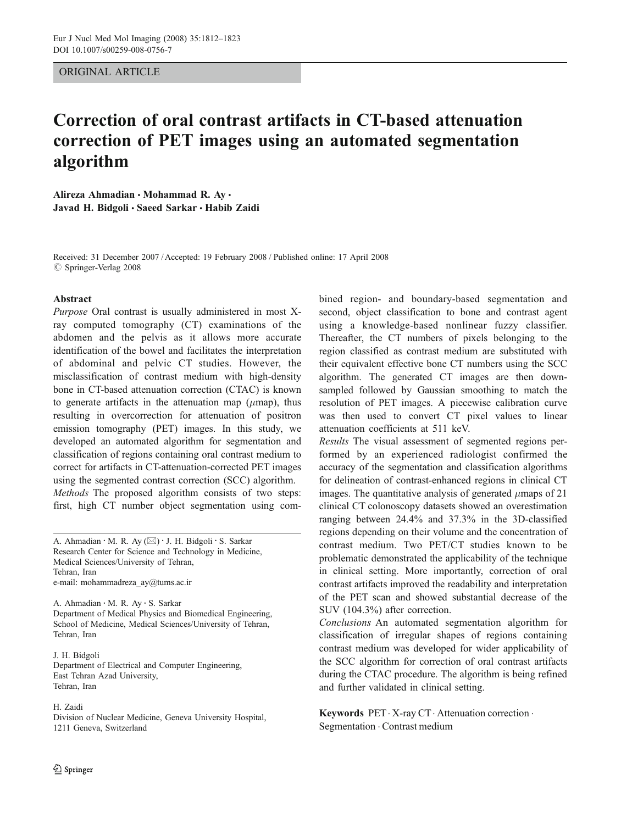ORIGINAL ARTICLE

# Correction of oral contrast artifacts in CT-based attenuation correction of PET images using an automated segmentation algorithm

Alireza Ahmadian · Mohammad R. Ay · Javad H. Bidgoli · Saeed Sarkar · Habib Zaidi

Received: 31 December 2007 / Accepted: 19 February 2008 / Published online: 17 April 2008  $\oslash$  Springer-Verlag 2008

## Abstract

Purpose Oral contrast is usually administered in most Xray computed tomography (CT) examinations of the abdomen and the pelvis as it allows more accurate identification of the bowel and facilitates the interpretation of abdominal and pelvic CT studies. However, the misclassification of contrast medium with high-density bone in CT-based attenuation correction (CTAC) is known to generate artifacts in the attenuation map ( $\mu$ map), thus resulting in overcorrection for attenuation of positron emission tomography (PET) images. In this study, we developed an automated algorithm for segmentation and classification of regions containing oral contrast medium to correct for artifacts in CT-attenuation-corrected PET images using the segmented contrast correction (SCC) algorithm. Methods The proposed algorithm consists of two steps: first, high CT number object segmentation using com-

A. Ahmadian : M. R. Ay (*\**) : J. H. Bidgoli : S. Sarkar Research Center for Science and Technology in Medicine, Medical Sciences/University of Tehran, Tehran, Iran e-mail: mohammadreza\_ay@tums.ac.ir

A. Ahmadian : M. R. Ay : S. Sarkar Department of Medical Physics and Biomedical Engineering, School of Medicine, Medical Sciences/University of Tehran, Tehran, Iran

J. H. Bidgoli Department of Electrical and Computer Engineering, East Tehran Azad University, Tehran, Iran

#### H. Zaidi

Division of Nuclear Medicine, Geneva University Hospital, 1211 Geneva, Switzerland

bined region- and boundary-based segmentation and second, object classification to bone and contrast agent using a knowledge-based nonlinear fuzzy classifier. Thereafter, the CT numbers of pixels belonging to the region classified as contrast medium are substituted with their equivalent effective bone CT numbers using the SCC algorithm. The generated CT images are then downsampled followed by Gaussian smoothing to match the resolution of PET images. A piecewise calibration curve was then used to convert CT pixel values to linear attenuation coefficients at 511 keV.

Results The visual assessment of segmented regions performed by an experienced radiologist confirmed the accuracy of the segmentation and classification algorithms for delineation of contrast-enhanced regions in clinical CT images. The quantitative analysis of generated  $\mu$ maps of 21 clinical CT colonoscopy datasets showed an overestimation ranging between 24.4% and 37.3% in the 3D-classified regions depending on their volume and the concentration of contrast medium. Two PET/CT studies known to be problematic demonstrated the applicability of the technique in clinical setting. More importantly, correction of oral contrast artifacts improved the readability and interpretation of the PET scan and showed substantial decrease of the SUV (104.3%) after correction.

Conclusions An automated segmentation algorithm for classification of irregular shapes of regions containing contrast medium was developed for wider applicability of the SCC algorithm for correction of oral contrast artifacts during the CTAC procedure. The algorithm is being refined and further validated in clinical setting.

Keywords  $PET \cdot X$ -ray  $CT \cdot$  Attenuation correction  $\cdot$ Segmentation . Contrast medium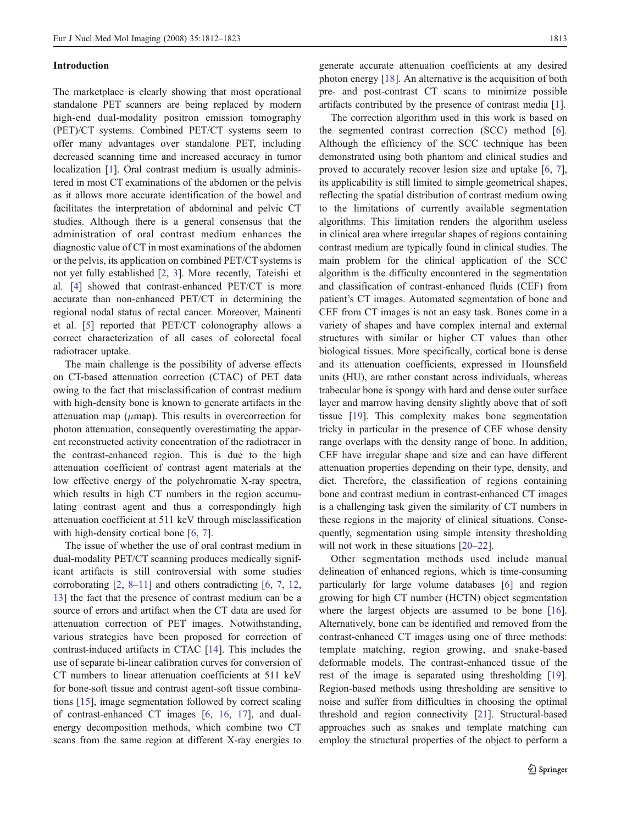#### Introduction

The marketplace is clearly showing that most operational standalone PET scanners are being replaced by modern high-end dual-modality positron emission tomography (PET)/CT systems. Combined PET/CT systems seem to offer many advantages over standalone PET, including decreased scanning time and increased accuracy in tumor localization [\[1](#page-10-0)]. Oral contrast medium is usually administered in most CT examinations of the abdomen or the pelvis as it allows more accurate identification of the bowel and facilitates the interpretation of abdominal and pelvic CT studies. Although there is a general consensus that the administration of oral contrast medium enhances the diagnostic value of CT in most examinations of the abdomen or the pelvis, its application on combined PET/CT systems is not yet fully established [[2,](#page-10-0) [3](#page-10-0)]. More recently, Tateishi et al. [[4\]](#page-10-0) showed that contrast-enhanced PET/CT is more accurate than non-enhanced PET/CT in determining the regional nodal status of rectal cancer. Moreover, Mainenti et al. [\[5](#page-10-0)] reported that PET/CT colonography allows a correct characterization of all cases of colorectal focal radiotracer uptake.

The main challenge is the possibility of adverse effects on CT-based attenuation correction (CTAC) of PET data owing to the fact that misclassification of contrast medium with high-density bone is known to generate artifacts in the attenuation map  $(\mu \text{map})$ . This results in overcorrection for photon attenuation, consequently overestimating the apparent reconstructed activity concentration of the radiotracer in the contrast-enhanced region. This is due to the high attenuation coefficient of contrast agent materials at the low effective energy of the polychromatic X-ray spectra, which results in high CT numbers in the region accumulating contrast agent and thus a correspondingly high attenuation coefficient at 511 keV through misclassification with high-density cortical bone [\[6](#page-11-0), [7\]](#page-11-0).

The issue of whether the use of oral contrast medium in dual-modality PET/CT scanning produces medically significant artifacts is still controversial with some studies corroborating [[2,](#page-10-0) [8](#page-11-0)–[11\]](#page-11-0) and others contradicting [\[6](#page-11-0), [7](#page-11-0), [12,](#page-11-0) [13](#page-11-0)] the fact that the presence of contrast medium can be a source of errors and artifact when the CT data are used for attenuation correction of PET images. Notwithstanding, various strategies have been proposed for correction of contrast-induced artifacts in CTAC [[14\]](#page-11-0). This includes the use of separate bi-linear calibration curves for conversion of CT numbers to linear attenuation coefficients at 511 keV for bone-soft tissue and contrast agent-soft tissue combinations [[15\]](#page-11-0), image segmentation followed by correct scaling of contrast-enhanced CT images [[6,](#page-11-0) [16,](#page-11-0) [17\]](#page-11-0), and dualenergy decomposition methods, which combine two CT scans from the same region at different X-ray energies to

generate accurate attenuation coefficients at any desired photon energy [[18\]](#page-11-0). An alternative is the acquisition of both pre- and post-contrast CT scans to minimize possible artifacts contributed by the presence of contrast media [\[1](#page-10-0)].

The correction algorithm used in this work is based on the segmented contrast correction (SCC) method [\[6](#page-11-0)]. Although the efficiency of the SCC technique has been demonstrated using both phantom and clinical studies and proved to accurately recover lesion size and uptake [[6,](#page-11-0) [7\]](#page-11-0), its applicability is still limited to simple geometrical shapes, reflecting the spatial distribution of contrast medium owing to the limitations of currently available segmentation algorithms. This limitation renders the algorithm useless in clinical area where irregular shapes of regions containing contrast medium are typically found in clinical studies. The main problem for the clinical application of the SCC algorithm is the difficulty encountered in the segmentation and classification of contrast-enhanced fluids (CEF) from patient's CT images. Automated segmentation of bone and CEF from CT images is not an easy task. Bones come in a variety of shapes and have complex internal and external structures with similar or higher CT values than other biological tissues. More specifically, cortical bone is dense and its attenuation coefficients, expressed in Hounsfield units (HU), are rather constant across individuals, whereas trabecular bone is spongy with hard and dense outer surface layer and marrow having density slightly above that of soft tissue [\[19](#page-11-0)]. This complexity makes bone segmentation tricky in particular in the presence of CEF whose density range overlaps with the density range of bone. In addition, CEF have irregular shape and size and can have different attenuation properties depending on their type, density, and diet. Therefore, the classification of regions containing bone and contrast medium in contrast-enhanced CT images is a challenging task given the similarity of CT numbers in these regions in the majority of clinical situations. Consequently, segmentation using simple intensity thresholding will not work in these situations [\[20](#page-11-0)–[22](#page-11-0)].

Other segmentation methods used include manual delineation of enhanced regions, which is time-consuming particularly for large volume databases [\[6](#page-11-0)] and region growing for high CT number (HCTN) object segmentation where the largest objects are assumed to be bone [[16\]](#page-11-0). Alternatively, bone can be identified and removed from the contrast-enhanced CT images using one of three methods: template matching, region growing, and snake-based deformable models. The contrast-enhanced tissue of the rest of the image is separated using thresholding [[19\]](#page-11-0). Region-based methods using thresholding are sensitive to noise and suffer from difficulties in choosing the optimal threshold and region connectivity [\[21](#page-11-0)]. Structural-based approaches such as snakes and template matching can employ the structural properties of the object to perform a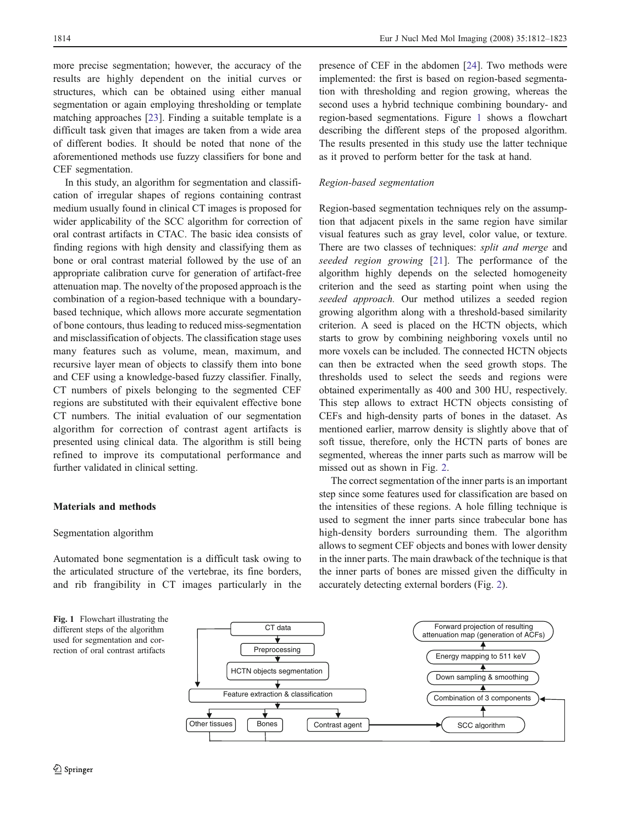more precise segmentation; however, the accuracy of the results are highly dependent on the initial curves or structures, which can be obtained using either manual segmentation or again employing thresholding or template matching approaches [\[23](#page-11-0)]. Finding a suitable template is a difficult task given that images are taken from a wide area of different bodies. It should be noted that none of the aforementioned methods use fuzzy classifiers for bone and CEF segmentation.

In this study, an algorithm for segmentation and classification of irregular shapes of regions containing contrast medium usually found in clinical CT images is proposed for wider applicability of the SCC algorithm for correction of oral contrast artifacts in CTAC. The basic idea consists of finding regions with high density and classifying them as bone or oral contrast material followed by the use of an appropriate calibration curve for generation of artifact-free attenuation map. The novelty of the proposed approach is the combination of a region-based technique with a boundarybased technique, which allows more accurate segmentation of bone contours, thus leading to reduced miss-segmentation and misclassification of objects. The classification stage uses many features such as volume, mean, maximum, and recursive layer mean of objects to classify them into bone and CEF using a knowledge-based fuzzy classifier. Finally, CT numbers of pixels belonging to the segmented CEF regions are substituted with their equivalent effective bone CT numbers. The initial evaluation of our segmentation algorithm for correction of contrast agent artifacts is presented using clinical data. The algorithm is still being refined to improve its computational performance and further validated in clinical setting.

## Materials and methods

#### Segmentation algorithm

Automated bone segmentation is a difficult task owing to the articulated structure of the vertebrae, its fine borders, and rib frangibility in CT images particularly in the

presence of CEF in the abdomen [[24\]](#page-11-0). Two methods were implemented: the first is based on region-based segmentation with thresholding and region growing, whereas the second uses a hybrid technique combining boundary- and region-based segmentations. Figure 1 shows a flowchart describing the different steps of the proposed algorithm. The results presented in this study use the latter technique as it proved to perform better for the task at hand.

## Region-based segmentation

Region-based segmentation techniques rely on the assumption that adjacent pixels in the same region have similar visual features such as gray level, color value, or texture. There are two classes of techniques: split and merge and seeded region growing [[21\]](#page-11-0). The performance of the algorithm highly depends on the selected homogeneity criterion and the seed as starting point when using the seeded approach. Our method utilizes a seeded region growing algorithm along with a threshold-based similarity criterion. A seed is placed on the HCTN objects, which starts to grow by combining neighboring voxels until no more voxels can be included. The connected HCTN objects can then be extracted when the seed growth stops. The thresholds used to select the seeds and regions were obtained experimentally as 400 and 300 HU, respectively. This step allows to extract HCTN objects consisting of CEFs and high-density parts of bones in the dataset. As mentioned earlier, marrow density is slightly above that of soft tissue, therefore, only the HCTN parts of bones are segmented, whereas the inner parts such as marrow will be missed out as shown in Fig. [2.](#page-3-0)

The correct segmentation of the inner parts is an important step since some features used for classification are based on the intensities of these regions. A hole filling technique is used to segment the inner parts since trabecular bone has high-density borders surrounding them. The algorithm allows to segment CEF objects and bones with lower density in the inner parts. The main drawback of the technique is that the inner parts of bones are missed given the difficulty in accurately detecting external borders (Fig. [2](#page-3-0)).



Fig. 1 Flowchart illustrating the different steps of the algorithm used for segmentation and correction of oral contrast artifacts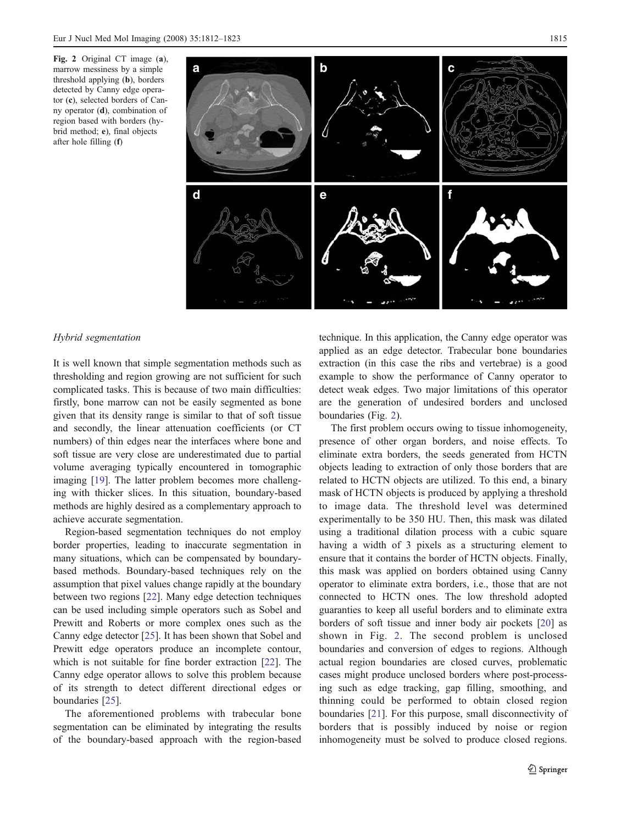threshold applying (b), borders detected by Canny edge operator (c), selected borders of Canny operator (d), combination of region based with borders (hybrid method; e), final objects after hole filling (f)

<span id="page-3-0"></span>

## Hybrid segmentation

It is well known that simple segmentation methods such as thresholding and region growing are not sufficient for such complicated tasks. This is because of two main difficulties: firstly, bone marrow can not be easily segmented as bone given that its density range is similar to that of soft tissue and secondly, the linear attenuation coefficients (or CT numbers) of thin edges near the interfaces where bone and soft tissue are very close are underestimated due to partial volume averaging typically encountered in tomographic imaging [\[19](#page-11-0)]. The latter problem becomes more challenging with thicker slices. In this situation, boundary-based methods are highly desired as a complementary approach to achieve accurate segmentation.

Region-based segmentation techniques do not employ border properties, leading to inaccurate segmentation in many situations, which can be compensated by boundarybased methods. Boundary-based techniques rely on the assumption that pixel values change rapidly at the boundary between two regions [[22\]](#page-11-0). Many edge detection techniques can be used including simple operators such as Sobel and Prewitt and Roberts or more complex ones such as the Canny edge detector [[25\]](#page-11-0). It has been shown that Sobel and Prewitt edge operators produce an incomplete contour, which is not suitable for fine border extraction [[22\]](#page-11-0). The Canny edge operator allows to solve this problem because of its strength to detect different directional edges or boundaries [\[25](#page-11-0)].

The aforementioned problems with trabecular bone segmentation can be eliminated by integrating the results of the boundary-based approach with the region-based technique. In this application, the Canny edge operator was applied as an edge detector. Trabecular bone boundaries extraction (in this case the ribs and vertebrae) is a good example to show the performance of Canny operator to detect weak edges. Two major limitations of this operator are the generation of undesired borders and unclosed boundaries (Fig. 2).

The first problem occurs owing to tissue inhomogeneity, presence of other organ borders, and noise effects. To eliminate extra borders, the seeds generated from HCTN objects leading to extraction of only those borders that are related to HCTN objects are utilized. To this end, a binary mask of HCTN objects is produced by applying a threshold to image data. The threshold level was determined experimentally to be 350 HU. Then, this mask was dilated using a traditional dilation process with a cubic square having a width of 3 pixels as a structuring element to ensure that it contains the border of HCTN objects. Finally, this mask was applied on borders obtained using Canny operator to eliminate extra borders, i.e., those that are not connected to HCTN ones. The low threshold adopted guaranties to keep all useful borders and to eliminate extra borders of soft tissue and inner body air pockets [[20](#page-11-0)] as shown in Fig. 2. The second problem is unclosed boundaries and conversion of edges to regions. Although actual region boundaries are closed curves, problematic cases might produce unclosed borders where post-processing such as edge tracking, gap filling, smoothing, and thinning could be performed to obtain closed region boundaries [\[21](#page-11-0)]. For this purpose, small disconnectivity of borders that is possibly induced by noise or region inhomogeneity must be solved to produce closed regions.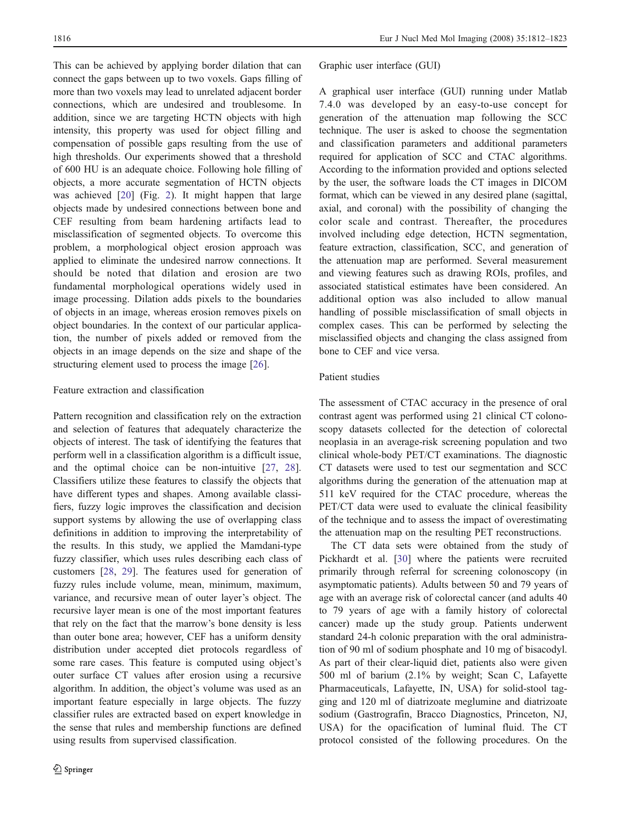This can be achieved by applying border dilation that can connect the gaps between up to two voxels. Gaps filling of more than two voxels may lead to unrelated adjacent border connections, which are undesired and troublesome. In addition, since we are targeting HCTN objects with high intensity, this property was used for object filling and compensation of possible gaps resulting from the use of high thresholds. Our experiments showed that a threshold of 600 HU is an adequate choice. Following hole filling of objects, a more accurate segmentation of HCTN objects was achieved [[20\]](#page-11-0) (Fig. [2\)](#page-3-0). It might happen that large objects made by undesired connections between bone and CEF resulting from beam hardening artifacts lead to misclassification of segmented objects. To overcome this problem, a morphological object erosion approach was applied to eliminate the undesired narrow connections. It should be noted that dilation and erosion are two fundamental morphological operations widely used in image processing. Dilation adds pixels to the boundaries of objects in an image, whereas erosion removes pixels on object boundaries. In the context of our particular application, the number of pixels added or removed from the objects in an image depends on the size and shape of the structuring element used to process the image [[26\]](#page-11-0).

## Feature extraction and classification

Pattern recognition and classification rely on the extraction and selection of features that adequately characterize the objects of interest. The task of identifying the features that perform well in a classification algorithm is a difficult issue, and the optimal choice can be non-intuitive [[27,](#page-11-0) [28](#page-11-0)]. Classifiers utilize these features to classify the objects that have different types and shapes. Among available classifiers, fuzzy logic improves the classification and decision support systems by allowing the use of overlapping class definitions in addition to improving the interpretability of the results. In this study, we applied the Mamdani-type fuzzy classifier, which uses rules describing each class of customers [\[28](#page-11-0), [29\]](#page-11-0). The features used for generation of fuzzy rules include volume, mean, minimum, maximum, variance, and recursive mean of outer layer's object. The recursive layer mean is one of the most important features that rely on the fact that the marrow's bone density is less than outer bone area; however, CEF has a uniform density distribution under accepted diet protocols regardless of some rare cases. This feature is computed using object's outer surface CT values after erosion using a recursive algorithm. In addition, the object's volume was used as an important feature especially in large objects. The fuzzy classifier rules are extracted based on expert knowledge in the sense that rules and membership functions are defined using results from supervised classification.

Graphic user interface (GUI)

A graphical user interface (GUI) running under Matlab 7.4.0 was developed by an easy-to-use concept for generation of the attenuation map following the SCC technique. The user is asked to choose the segmentation and classification parameters and additional parameters required for application of SCC and CTAC algorithms. According to the information provided and options selected by the user, the software loads the CT images in DICOM format, which can be viewed in any desired plane (sagittal, axial, and coronal) with the possibility of changing the color scale and contrast. Thereafter, the procedures involved including edge detection, HCTN segmentation, feature extraction, classification, SCC, and generation of the attenuation map are performed. Several measurement and viewing features such as drawing ROIs, profiles, and associated statistical estimates have been considered. An additional option was also included to allow manual handling of possible misclassification of small objects in complex cases. This can be performed by selecting the misclassified objects and changing the class assigned from bone to CEF and vice versa.

# Patient studies

The assessment of CTAC accuracy in the presence of oral contrast agent was performed using 21 clinical CT colonoscopy datasets collected for the detection of colorectal neoplasia in an average-risk screening population and two clinical whole-body PET/CT examinations. The diagnostic CT datasets were used to test our segmentation and SCC algorithms during the generation of the attenuation map at 511 keV required for the CTAC procedure, whereas the PET/CT data were used to evaluate the clinical feasibility of the technique and to assess the impact of overestimating the attenuation map on the resulting PET reconstructions.

The CT data sets were obtained from the study of Pickhardt et al. [\[30](#page-11-0)] where the patients were recruited primarily through referral for screening colonoscopy (in asymptomatic patients). Adults between 50 and 79 years of age with an average risk of colorectal cancer (and adults 40 to 79 years of age with a family history of colorectal cancer) made up the study group. Patients underwent standard 24-h colonic preparation with the oral administration of 90 ml of sodium phosphate and 10 mg of bisacodyl. As part of their clear-liquid diet, patients also were given 500 ml of barium (2.1% by weight; Scan C, Lafayette Pharmaceuticals, Lafayette, IN, USA) for solid-stool tagging and 120 ml of diatrizoate meglumine and diatrizoate sodium (Gastrografin, Bracco Diagnostics, Princeton, NJ, USA) for the opacification of luminal fluid. The CT protocol consisted of the following procedures. On the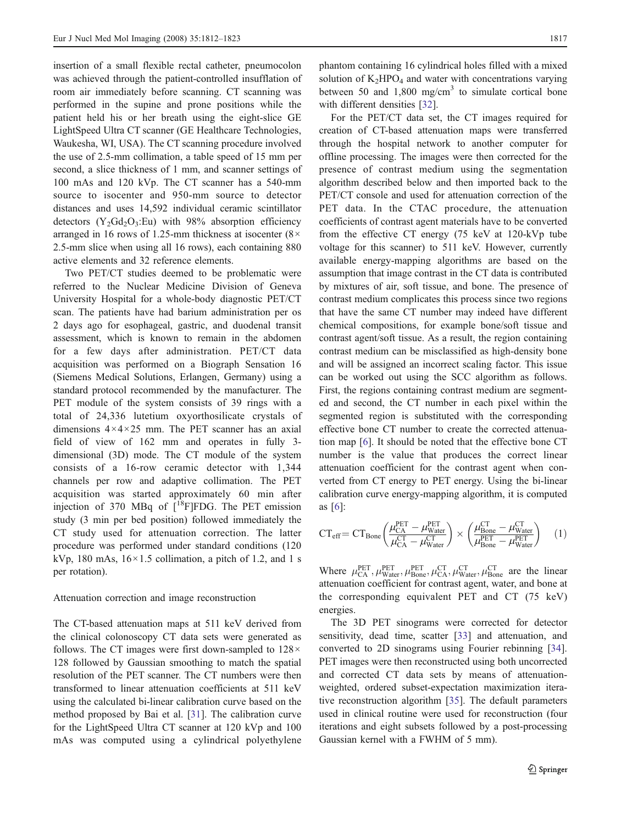insertion of a small flexible rectal catheter, pneumocolon was achieved through the patient-controlled insufflation of room air immediately before scanning. CT scanning was performed in the supine and prone positions while the patient held his or her breath using the eight-slice GE LightSpeed Ultra CT scanner (GE Healthcare Technologies, Waukesha, WI, USA). The CT scanning procedure involved the use of 2.5-mm collimation, a table speed of 15 mm per second, a slice thickness of 1 mm, and scanner settings of 100 mAs and 120 kVp. The CT scanner has a 540-mm source to isocenter and 950-mm source to detector distances and uses 14,592 individual ceramic scintillator detectors  $(Y_2Gd_2O_3:Eu)$  with 98% absorption efficiency arranged in 16 rows of 1.25-mm thickness at isocenter ( $8 \times$ 2.5-mm slice when using all 16 rows), each containing 880 active elements and 32 reference elements.

Two PET/CT studies deemed to be problematic were referred to the Nuclear Medicine Division of Geneva University Hospital for a whole-body diagnostic PET/CT scan. The patients have had barium administration per os 2 days ago for esophageal, gastric, and duodenal transit assessment, which is known to remain in the abdomen for a few days after administration. PET/CT data acquisition was performed on a Biograph Sensation 16 (Siemens Medical Solutions, Erlangen, Germany) using a standard protocol recommended by the manufacturer. The PET module of the system consists of 39 rings with a total of 24,336 lutetium oxyorthosilicate crystals of dimensions  $4 \times 4 \times 25$  mm. The PET scanner has an axial field of view of 162 mm and operates in fully 3 dimensional (3D) mode. The CT module of the system consists of a 16-row ceramic detector with 1,344 channels per row and adaptive collimation. The PET acquisition was started approximately 60 min after injection of 370 MBq of  $\int^{18}$ F]FDG. The PET emission study (3 min per bed position) followed immediately the CT study used for attenuation correction. The latter procedure was performed under standard conditions (120 kVp, 180 mAs,  $16 \times 1.5$  collimation, a pitch of 1.2, and 1 s per rotation).

#### Attenuation correction and image reconstruction

The CT-based attenuation maps at 511 keV derived from the clinical colonoscopy CT data sets were generated as follows. The CT images were first down-sampled to  $128 \times$ 128 followed by Gaussian smoothing to match the spatial resolution of the PET scanner. The CT numbers were then transformed to linear attenuation coefficients at 511 keV using the calculated bi-linear calibration curve based on the method proposed by Bai et al. [[31\]](#page-11-0). The calibration curve for the LightSpeed Ultra CT scanner at 120 kVp and 100 mAs was computed using a cylindrical polyethylene phantom containing 16 cylindrical holes filled with a mixed solution of  $K_2HPO_4$  and water with concentrations varying between 50 and 1,800 mg/cm<sup>3</sup> to simulate cortical bone with different densities [[32\]](#page-11-0).

For the PET/CT data set, the CT images required for creation of CT-based attenuation maps were transferred through the hospital network to another computer for offline processing. The images were then corrected for the presence of contrast medium using the segmentation algorithm described below and then imported back to the PET/CT console and used for attenuation correction of the PET data. In the CTAC procedure, the attenuation coefficients of contrast agent materials have to be converted from the effective CT energy (75 keV at 120-kVp tube voltage for this scanner) to 511 keV. However, currently available energy-mapping algorithms are based on the assumption that image contrast in the CT data is contributed by mixtures of air, soft tissue, and bone. The presence of contrast medium complicates this process since two regions that have the same CT number may indeed have different chemical compositions, for example bone/soft tissue and contrast agent/soft tissue. As a result, the region containing contrast medium can be misclassified as high-density bone and will be assigned an incorrect scaling factor. This issue can be worked out using the SCC algorithm as follows. First, the regions containing contrast medium are segmented and second, the CT number in each pixel within the segmented region is substituted with the corresponding effective bone CT number to create the corrected attenuation map [\[6](#page-11-0)]. It should be noted that the effective bone CT number is the value that produces the correct linear attenuation coefficient for the contrast agent when converted from CT energy to PET energy. Using the bi-linear calibration curve energy-mapping algorithm, it is computed as [[6\]](#page-11-0):

$$
CT_{\text{eff}} = CT_{\text{Bone}} \left( \frac{\mu_{\text{CA}}^{\text{PET}} - \mu_{\text{Water}}^{\text{PET}}}{\mu_{\text{CA}}^{\text{CT}} - \mu_{\text{Water}}^{\text{CT}}} \right) \times \left( \frac{\mu_{\text{Bone}}^{\text{CT}} - \mu_{\text{Water}}^{\text{W}}}{\mu_{\text{Bone}}^{\text{PET}}} \right) \tag{1}
$$

Where  $\mu_{\text{CA}}^{\text{PET}}, \mu_{\text{Water}}^{\text{PET}}, \mu_{\text{Bone}}^{\text{DET}}, \mu_{\text{CA}}^{\text{CT}}, \mu_{\text{Water}}^{\text{CT}}, \mu_{\text{Bone}}^{\text{CT}}$  are the linear attenuation coefficient for contrast agent, water, and bone at the corresponding equivalent PET and CT (75 keV) energies.

The 3D PET sinograms were corrected for detector sensitivity, dead time, scatter [[33\]](#page-11-0) and attenuation, and converted to 2D sinograms using Fourier rebinning [[34\]](#page-11-0). PET images were then reconstructed using both uncorrected and corrected CT data sets by means of attenuationweighted, ordered subset-expectation maximization iterative reconstruction algorithm [[35\]](#page-11-0). The default parameters used in clinical routine were used for reconstruction (four iterations and eight subsets followed by a post-processing Gaussian kernel with a FWHM of 5 mm).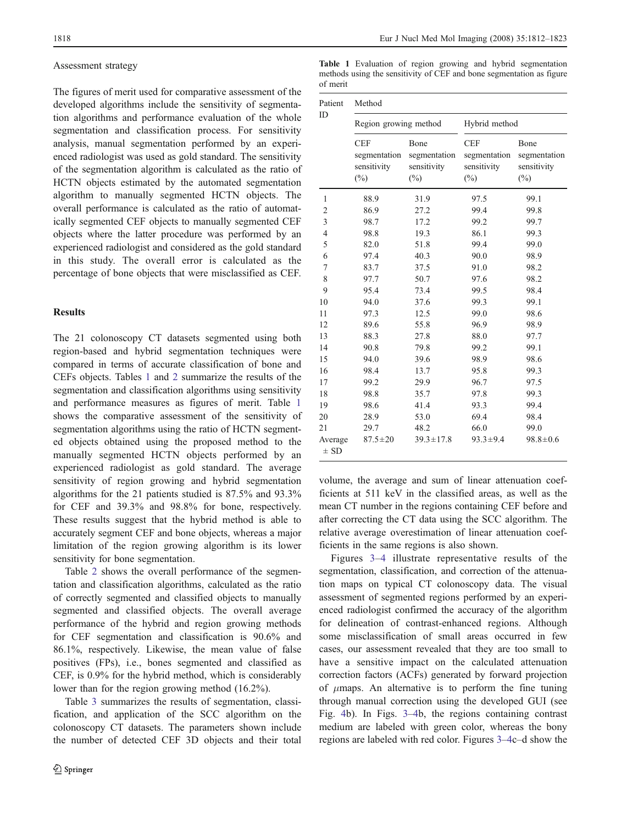#### Assessment strategy

The figures of merit used for comparative assessment of the developed algorithms include the sensitivity of segmentation algorithms and performance evaluation of the whole segmentation and classification process. For sensitivity analysis, manual segmentation performed by an experienced radiologist was used as gold standard. The sensitivity of the segmentation algorithm is calculated as the ratio of HCTN objects estimated by the automated segmentation algorithm to manually segmented HCTN objects. The overall performance is calculated as the ratio of automatically segmented CEF objects to manually segmented CEF objects where the latter procedure was performed by an experienced radiologist and considered as the gold standard in this study. The overall error is calculated as the percentage of bone objects that were misclassified as CEF.

## **Results**

The 21 colonoscopy CT datasets segmented using both region-based and hybrid segmentation techniques were compared in terms of accurate classification of bone and CEFs objects. Tables 1 and [2](#page-7-0) summarize the results of the segmentation and classification algorithms using sensitivity and performance measures as figures of merit. Table 1 shows the comparative assessment of the sensitivity of segmentation algorithms using the ratio of HCTN segmented objects obtained using the proposed method to the manually segmented HCTN objects performed by an experienced radiologist as gold standard. The average sensitivity of region growing and hybrid segmentation algorithms for the 21 patients studied is 87.5% and 93.3% for CEF and 39.3% and 98.8% for bone, respectively. These results suggest that the hybrid method is able to accurately segment CEF and bone objects, whereas a major limitation of the region growing algorithm is its lower sensitivity for bone segmentation.

Table [2](#page-7-0) shows the overall performance of the segmentation and classification algorithms, calculated as the ratio of correctly segmented and classified objects to manually segmented and classified objects. The overall average performance of the hybrid and region growing methods for CEF segmentation and classification is 90.6% and 86.1%, respectively. Likewise, the mean value of false positives (FPs), i.e., bones segmented and classified as CEF, is 0.9% for the hybrid method, which is considerably lower than for the region growing method (16.2%).

Table [3](#page-8-0) summarizes the results of segmentation, classification, and application of the SCC algorithm on the colonoscopy CT datasets. The parameters shown include the number of detected CEF 3D objects and their total

Table 1 Evaluation of region growing and hybrid segmentation methods using the sensitivity of CEF and bone segmentation as figure of merit

| Patient<br>ID       | Method                                              |                                               |                                                     |                                               |  |  |
|---------------------|-----------------------------------------------------|-----------------------------------------------|-----------------------------------------------------|-----------------------------------------------|--|--|
|                     | Region growing method                               |                                               | Hybrid method                                       |                                               |  |  |
|                     | <b>CEF</b><br>segmentation<br>sensitivity<br>$(\%)$ | Bone<br>segmentation<br>sensitivity<br>$(\%)$ | <b>CEF</b><br>segmentation<br>sensitivity<br>$(\%)$ | Bone<br>segmentation<br>sensitivity<br>$(\%)$ |  |  |
| 1                   | 88.9                                                | 31.9                                          | 97.5                                                | 99.1                                          |  |  |
| $\overline{2}$      | 86.9                                                | 27.2                                          | 99.4                                                | 99.8                                          |  |  |
| 3                   | 98.7                                                | 17.2                                          | 99.2                                                | 99.7                                          |  |  |
| $\overline{4}$      | 98.8                                                | 19.3                                          | 86.1                                                | 99.3                                          |  |  |
| 5                   | 82.0                                                | 51.8                                          | 99.4                                                | 99.0                                          |  |  |
| 6                   | 97.4                                                | 40.3                                          | 90.0                                                | 98.9                                          |  |  |
| 7                   | 83.7                                                | 37.5                                          | 91.0                                                | 98.2                                          |  |  |
| 8                   | 97.7                                                | 50.7                                          | 97.6                                                | 98.2                                          |  |  |
| 9                   | 95.4                                                | 73.4                                          | 99.5                                                | 98.4                                          |  |  |
| 10                  | 94.0                                                | 37.6                                          | 99.3                                                | 99.1                                          |  |  |
| 11                  | 97.3                                                | 12.5                                          | 99.0                                                | 98.6                                          |  |  |
| 12                  | 89.6                                                | 55.8                                          | 96.9                                                | 98.9                                          |  |  |
| 13                  | 88.3                                                | 27.8                                          | 88.0                                                | 97.7                                          |  |  |
| 14                  | 90.8                                                | 79.8                                          | 99.2                                                | 99.1                                          |  |  |
| 15                  | 94.0                                                | 39.6                                          | 98.9                                                | 98.6                                          |  |  |
| 16                  | 98.4                                                | 13.7                                          | 95.8                                                | 99.3                                          |  |  |
| 17                  | 99.2                                                | 29.9                                          | 96.7                                                | 97.5                                          |  |  |
| 18                  | 98.8                                                | 35.7                                          | 97.8                                                | 99.3                                          |  |  |
| 19                  | 98.6                                                | 41.4                                          | 93.3                                                | 99.4                                          |  |  |
| 20                  | 28.9                                                | 53.0                                          | 69.4                                                | 98.4                                          |  |  |
| 21                  | 29.7                                                | 48.2                                          | 66.0                                                | 99.0                                          |  |  |
| Average<br>$\pm$ SD | $87.5 \pm 20$                                       | $39.3 \pm 17.8$                               | $93.3 \pm 9.4$                                      | $98.8 \pm 0.6$                                |  |  |

volume, the average and sum of linear attenuation coefficients at 511 keV in the classified areas, as well as the mean CT number in the regions containing CEF before and after correcting the CT data using the SCC algorithm. The relative average overestimation of linear attenuation coefficients in the same regions is also shown.

Figures [3](#page-8-0)–[4](#page-9-0) illustrate representative results of the segmentation, classification, and correction of the attenuation maps on typical CT colonoscopy data. The visual assessment of segmented regions performed by an experienced radiologist confirmed the accuracy of the algorithm for delineation of contrast-enhanced regions. Although some misclassification of small areas occurred in few cases, our assessment revealed that they are too small to have a sensitive impact on the calculated attenuation correction factors (ACFs) generated by forward projection of  $\mu$ maps. An alternative is to perform the fine tuning through manual correction using the developed GUI (see Fig. [4](#page-9-0)b). In Figs. [3](#page-8-0)–[4](#page-9-0)b, the regions containing contrast medium are labeled with green color, whereas the bony regions are labeled with red color. Figures [3](#page-8-0)–[4](#page-9-0)c–d show the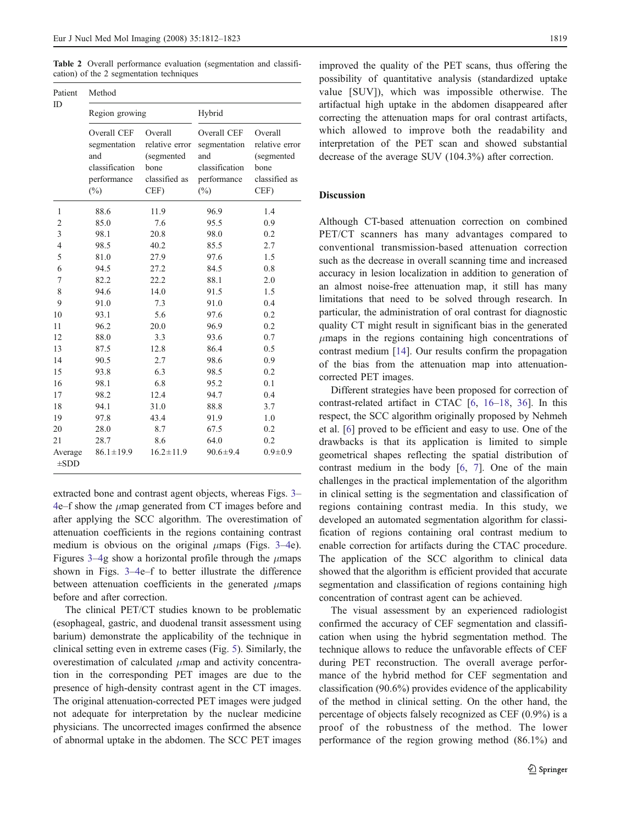<span id="page-7-0"></span>Table 2 Overall performance evaluation (segmentation and classification) of the 2 segmentation techniques

| Patient<br>ID        | Method                                                                        |                                                                           |                                                                               |                                                                          |  |  |  |
|----------------------|-------------------------------------------------------------------------------|---------------------------------------------------------------------------|-------------------------------------------------------------------------------|--------------------------------------------------------------------------|--|--|--|
|                      | Region growing                                                                |                                                                           | Hybrid                                                                        |                                                                          |  |  |  |
|                      | Overall CEF<br>segmentation<br>and<br>classification<br>performance<br>$(\%)$ | Overall<br>relative error<br>(segmented)<br>bone<br>classified as<br>CEF) | Overall CEF<br>segmentation<br>and<br>classification<br>performance<br>$(\%)$ | Overall<br>relative error<br>(segmented<br>bone<br>classified as<br>CEF) |  |  |  |
| 1                    | 88.6                                                                          | 11.9                                                                      | 96.9                                                                          | 1.4                                                                      |  |  |  |
| $\overline{2}$       | 85.0                                                                          | 7.6                                                                       | 95.5                                                                          | 0.9                                                                      |  |  |  |
| $\overline{3}$       | 98.1                                                                          | 20.8                                                                      | 98.0                                                                          | 0.2                                                                      |  |  |  |
| $\overline{4}$       | 98.5                                                                          | 40.2                                                                      | 85.5                                                                          | 2.7                                                                      |  |  |  |
| 5                    | 81.0                                                                          | 27.9                                                                      | 97.6                                                                          | 1.5                                                                      |  |  |  |
| 6                    | 94.5                                                                          | 27.2                                                                      | 84.5                                                                          | 0.8                                                                      |  |  |  |
| 7                    | 82.2                                                                          | 22.2                                                                      | 88.1                                                                          | 2.0                                                                      |  |  |  |
| 8                    | 94.6                                                                          | 14.0                                                                      | 91.5                                                                          | 1.5                                                                      |  |  |  |
| 9                    | 91.0                                                                          | 7.3                                                                       | 91.0                                                                          | 0.4                                                                      |  |  |  |
| 10                   | 93.1                                                                          | 5.6                                                                       | 97.6                                                                          | 0.2                                                                      |  |  |  |
| 11                   | 96.2                                                                          | 20.0                                                                      | 96.9                                                                          | 0.2                                                                      |  |  |  |
| 12                   | 88.0                                                                          | 3.3                                                                       | 93.6                                                                          | 0.7                                                                      |  |  |  |
| 13                   | 87.5                                                                          | 12.8                                                                      | 86.4                                                                          | 0.5                                                                      |  |  |  |
| 14                   | 90.5                                                                          | 2.7                                                                       | 98.6                                                                          | 0.9                                                                      |  |  |  |
| 15                   | 93.8                                                                          | 6.3                                                                       | 98.5                                                                          | 0.2                                                                      |  |  |  |
| 16                   | 98.1                                                                          | 6.8                                                                       | 95.2                                                                          | 0.1                                                                      |  |  |  |
| 17                   | 98.2                                                                          | 12.4                                                                      | 94.7                                                                          | 0.4                                                                      |  |  |  |
| 18                   | 94.1                                                                          | 31.0                                                                      | 88.8                                                                          | 3.7                                                                      |  |  |  |
| 19                   | 97.8                                                                          | 43.4                                                                      | 91.9                                                                          | 1.0                                                                      |  |  |  |
| 20                   | 28.0                                                                          | 8.7                                                                       | 67.5                                                                          | 0.2                                                                      |  |  |  |
| 21                   | 28.7                                                                          | 8.6                                                                       | 64.0                                                                          | 0.2                                                                      |  |  |  |
| Average<br>$\pm$ SDD | $86.1 \pm 19.9$                                                               | $16.2 \pm 11.9$                                                           | $90.6 \pm 9.4$                                                                | $0.9 + 0.9$                                                              |  |  |  |

extracted bone and contrast agent objects, whereas Figs. [3](#page-8-0)–  $4e$  $4e$ –f show the  $\mu$ map generated from CT images before and after applying the SCC algorithm. The overestimation of attenuation coefficients in the regions containing contrast medium is obvious on the original  $\mu$ maps (Figs. [3](#page-8-0)–[4](#page-9-0)e). Figures [3](#page-8-0)–[4](#page-8-0)g show a horizontal profile through the  $\mu$ maps shown in Figs. [3](#page-8-0)–[4e](#page-9-0)–f to better illustrate the difference between attenuation coefficients in the generated  $\mu$ maps before and after correction.

The clinical PET/CT studies known to be problematic (esophageal, gastric, and duodenal transit assessment using barium) demonstrate the applicability of the technique in clinical setting even in extreme cases (Fig. [5\)](#page-9-0). Similarly, the overestimation of calculated  $\mu$ map and activity concentration in the corresponding PET images are due to the presence of high-density contrast agent in the CT images. The original attenuation-corrected PET images were judged not adequate for interpretation by the nuclear medicine physicians. The uncorrected images confirmed the absence of abnormal uptake in the abdomen. The SCC PET images

improved the quality of the PET scans, thus offering the possibility of quantitative analysis (standardized uptake value [SUV]), which was impossible otherwise. The artifactual high uptake in the abdomen disappeared after correcting the attenuation maps for oral contrast artifacts, which allowed to improve both the readability and interpretation of the PET scan and showed substantial decrease of the average SUV (104.3%) after correction.

## **Discussion**

Although CT-based attenuation correction on combined PET/CT scanners has many advantages compared to conventional transmission-based attenuation correction such as the decrease in overall scanning time and increased accuracy in lesion localization in addition to generation of an almost noise-free attenuation map, it still has many limitations that need to be solved through research. In particular, the administration of oral contrast for diagnostic quality CT might result in significant bias in the generated  $\mu$ maps in the regions containing high concentrations of contrast medium [[14\]](#page-11-0). Our results confirm the propagation of the bias from the attenuation map into attenuationcorrected PET images.

Different strategies have been proposed for correction of contrast-related artifact in CTAC [\[6](#page-11-0), [16](#page-11-0)–[18,](#page-11-0) [36](#page-11-0)]. In this respect, the SCC algorithm originally proposed by Nehmeh et al. [\[6](#page-11-0)] proved to be efficient and easy to use. One of the drawbacks is that its application is limited to simple geometrical shapes reflecting the spatial distribution of contrast medium in the body [\[6](#page-11-0), [7](#page-11-0)]. One of the main challenges in the practical implementation of the algorithm in clinical setting is the segmentation and classification of regions containing contrast media. In this study, we developed an automated segmentation algorithm for classification of regions containing oral contrast medium to enable correction for artifacts during the CTAC procedure. The application of the SCC algorithm to clinical data showed that the algorithm is efficient provided that accurate segmentation and classification of regions containing high concentration of contrast agent can be achieved.

The visual assessment by an experienced radiologist confirmed the accuracy of CEF segmentation and classification when using the hybrid segmentation method. The technique allows to reduce the unfavorable effects of CEF during PET reconstruction. The overall average performance of the hybrid method for CEF segmentation and classification (90.6%) provides evidence of the applicability of the method in clinical setting. On the other hand, the percentage of objects falsely recognized as CEF (0.9%) is a proof of the robustness of the method. The lower performance of the region growing method (86.1%) and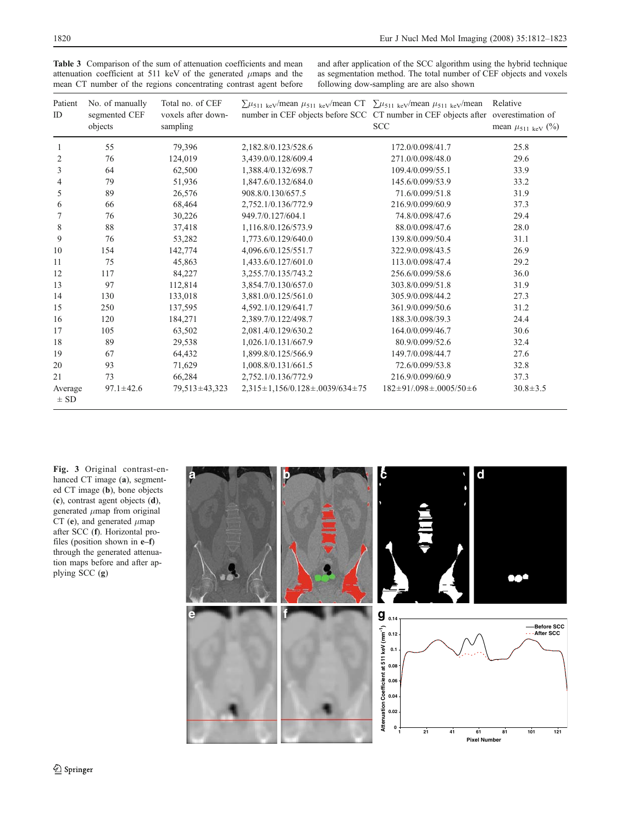<span id="page-8-0"></span>mean CT number of the regions concentrating contrast agent before Table 3 Comparison of the sum of attenuation coefficients and mean

Table 3 Comparison of the sum of attenuation coefficients and mean and after application of the SCC algorithm using the hybrid technique attenuation coefficient at 511 keV of the generated  $\mu$ maps and the as segmentation method. The total number of CEF objects and voxels as segmentation method. The total number of CEF objects and voxels following dow-sampling are are also shown

| Patient<br>ID       | No. of manually<br>segmented CEF<br>objects | Total no. of CEF<br>voxels after down-<br>sampling | $\sum \mu_{511 \text{ keV}}$ /mean $\mu_{511 \text{ keV}}$ /mean CT $\sum \mu_{511 \text{ keV}}$ /mean $\mu_{511 \text{ keV}}$ /mean Relative<br>number in CEF objects before SCC CT number in CEF objects after overestimation of | <b>SCC</b>                         | mean $\mu_{511 \text{ keV}}$ (%) |
|---------------------|---------------------------------------------|----------------------------------------------------|------------------------------------------------------------------------------------------------------------------------------------------------------------------------------------------------------------------------------------|------------------------------------|----------------------------------|
| 1                   | 55                                          | 79,396                                             | 2,182.8/0.123/528.6                                                                                                                                                                                                                | 172.0/0.098/41.7                   | 25.8                             |
| 2                   | 76                                          | 124,019                                            | 3,439.0/0.128/609.4                                                                                                                                                                                                                | 271.0/0.098/48.0                   | 29.6                             |
| 3                   | 64                                          | 62,500                                             | 1,388.4/0.132/698.7                                                                                                                                                                                                                | 109.4/0.099/55.1                   | 33.9                             |
| 4                   | 79                                          | 51,936                                             | 1,847.6/0.132/684.0                                                                                                                                                                                                                | 145.6/0.099/53.9                   | 33.2                             |
| 5                   | 89                                          | 26,576                                             | 908.8/0.130/657.5                                                                                                                                                                                                                  | 71.6/0.099/51.8                    | 31.9                             |
| 6                   | 66                                          | 68,464                                             | 2,752.1/0.136/772.9                                                                                                                                                                                                                | 216.9/0.099/60.9                   | 37.3                             |
| 7                   | 76                                          | 30,226                                             | 949.7/0.127/604.1                                                                                                                                                                                                                  | 74.8/0.098/47.6                    | 29.4                             |
| 8                   | 88                                          | 37,418                                             | 1,116.8/0.126/573.9                                                                                                                                                                                                                | 88.0/0.098/47.6                    | 28.0                             |
| 9                   | 76                                          | 53,282                                             | 1,773.6/0.129/640.0                                                                                                                                                                                                                | 139.8/0.099/50.4                   | 31.1                             |
| 10                  | 154                                         | 142,774                                            | 4,096.6/0.125/551.7                                                                                                                                                                                                                | 322.9/0.098/43.5                   | 26.9                             |
| 11                  | 75                                          | 45,863                                             | 1,433.6/0.127/601.0                                                                                                                                                                                                                | 113.0/0.098/47.4                   | 29.2                             |
| 12                  | 117                                         | 84,227                                             | 3,255.7/0.135/743.2                                                                                                                                                                                                                | 256.6/0.099/58.6                   | 36.0                             |
| 13                  | 97                                          | 112,814                                            | 3,854.7/0.130/657.0                                                                                                                                                                                                                | 303.8/0.099/51.8                   | 31.9                             |
| 14                  | 130                                         | 133,018                                            | 3,881.0/0.125/561.0                                                                                                                                                                                                                | 305.9/0.098/44.2                   | 27.3                             |
| 15                  | 250                                         | 137,595                                            | 4,592.1/0.129/641.7                                                                                                                                                                                                                | 361.9/0.099/50.6                   | 31.2                             |
| 16                  | 120                                         | 184,271                                            | 2,389.7/0.122/498.7                                                                                                                                                                                                                | 188.3/0.098/39.3                   | 24.4                             |
| 17                  | 105                                         | 63,502                                             | 2,081.4/0.129/630.2                                                                                                                                                                                                                | 164.0/0.099/46.7                   | 30.6                             |
| 18                  | 89                                          | 29,538                                             | 1,026.1/0.131/667.9                                                                                                                                                                                                                | 80.9/0.099/52.6                    | 32.4                             |
| 19                  | 67                                          | 64,432                                             | 1,899.8/0.125/566.9                                                                                                                                                                                                                | 149.7/0.098/44.7                   | 27.6                             |
| 20                  | 93                                          | 71,629                                             | 1,008.8/0.131/661.5                                                                                                                                                                                                                | 72.6/0.099/53.8                    | 32.8                             |
| 21                  | 73                                          | 66,284                                             | 2,752.1/0.136/772.9                                                                                                                                                                                                                | 216.9/0.099/60.9                   | 37.3                             |
| Average<br>$\pm$ SD | $97.1 \pm 42.6$                             | 79,513±43,323                                      | $2,315 \pm 1,156/0.128 \pm .0039/634 \pm 75$                                                                                                                                                                                       | $182 \pm 91/098 \pm 0005/50 \pm 6$ | $30.8 \pm 3.5$                   |

Fig. 3 Original contrast-enhanced CT image (a), segmented CT image (b), bone objects (c), contrast agent objects (d), generated  $\mu$ map from original CT (e), and generated  $\mu$ map after SCC (f). Horizontal profiles (position shown in e–f) through the generated attenuation maps before and after applying SCC (g)

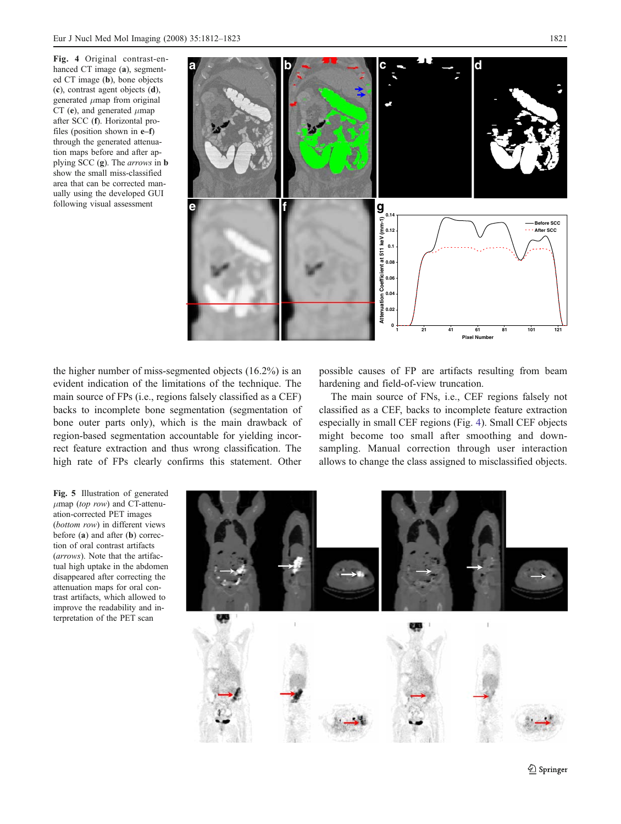<span id="page-9-0"></span>Fig. 4 Original contrast-enhanced CT image (a), segmented CT image (b), bone objects (c), contrast agent objects (d), generated  $\mu$ map from original CT (e), and generated  $\mu$ map after SCC (f). Horizontal profiles (position shown in e–f) through the generated attenuation maps before and after applying SCC (g). The arrows in b show the small miss-classified area that can be corrected manually using the developed GUI following visual assessment



the higher number of miss-segmented objects (16.2%) is an evident indication of the limitations of the technique. The main source of FPs (i.e., regions falsely classified as a CEF) backs to incomplete bone segmentation (segmentation of bone outer parts only), which is the main drawback of region-based segmentation accountable for yielding incorrect feature extraction and thus wrong classification. The high rate of FPs clearly confirms this statement. Other

possible causes of FP are artifacts resulting from beam hardening and field-of-view truncation.

The main source of FNs, i.e., CEF regions falsely not classified as a CEF, backs to incomplete feature extraction especially in small CEF regions (Fig. 4). Small CEF objects might become too small after smoothing and downsampling. Manual correction through user interaction allows to change the class assigned to misclassified objects.

Fig. 5 Illustration of generated  $\mu$ map (top row) and CT-attenuation-corrected PET images (bottom row) in different views before (a) and after (b) correction of oral contrast artifacts (arrows). Note that the artifactual high uptake in the abdomen disappeared after correcting the attenuation maps for oral contrast artifacts, which allowed to improve the readability and interpretation of the PET scan

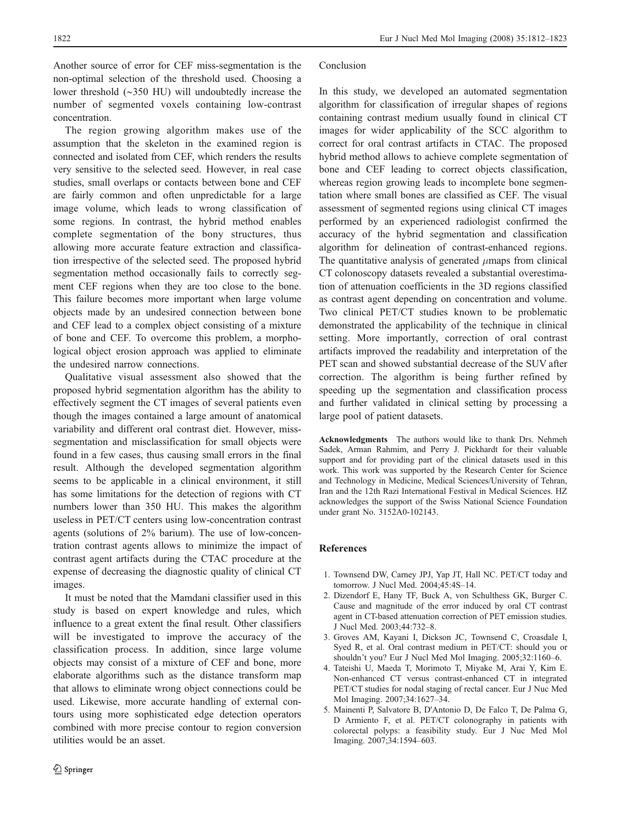<span id="page-10-0"></span>Another source of error for CEF miss-segmentation is the non-optimal selection of the threshold used. Choosing a lower threshold (∼350 HU) will undoubtedly increase the number of segmented voxels containing low-contrast concentration.

The region growing algorithm makes use of the assumption that the skeleton in the examined region is connected and isolated from CEF, which renders the results very sensitive to the selected seed. However, in real case studies, small overlaps or contacts between bone and CEF are fairly common and often unpredictable for a large image volume, which leads to wrong classification of some regions. In contrast, the hybrid method enables complete segmentation of the bony structures, thus allowing more accurate feature extraction and classification irrespective of the selected seed. The proposed hybrid segmentation method occasionally fails to correctly segment CEF regions when they are too close to the bone. This failure becomes more important when large volume objects made by an undesired connection between bone and CEF lead to a complex object consisting of a mixture of bone and CEF. To overcome this problem, a morphological object erosion approach was applied to eliminate the undesired narrow connections.

Qualitative visual assessment also showed that the proposed hybrid segmentation algorithm has the ability to effectively segment the CT images of several patients even though the images contained a large amount of anatomical variability and different oral contrast diet. However, misssegmentation and misclassification for small objects were found in a few cases, thus causing small errors in the final result. Although the developed segmentation algorithm seems to be applicable in a clinical environment, it still has some limitations for the detection of regions with CT numbers lower than 350 HU. This makes the algorithm useless in PET/CT centers using low-concentration contrast agents (solutions of 2% barium). The use of low-concentration contrast agents allows to minimize the impact of contrast agent artifacts during the CTAC procedure at the expense of decreasing the diagnostic quality of clinical CT images.

It must be noted that the Mamdani classifier used in this study is based on expert knowledge and rules, which influence to a great extent the final result. Other classifiers will be investigated to improve the accuracy of the classification process. In addition, since large volume objects may consist of a mixture of CEF and bone, more elaborate algorithms such as the distance transform map that allows to eliminate wrong object connections could be used. Likewise, more accurate handling of external contours using more sophisticated edge detection operators combined with more precise contour to region conversion utilities would be an asset.

## Conclusion

In this study, we developed an automated segmentation algorithm for classification of irregular shapes of regions containing contrast medium usually found in clinical CT images for wider applicability of the SCC algorithm to correct for oral contrast artifacts in CTAC. The proposed hybrid method allows to achieve complete segmentation of bone and CEF leading to correct objects classification, whereas region growing leads to incomplete bone segmentation where small bones are classified as CEF. The visual assessment of segmented regions using clinical CT images performed by an experienced radiologist confirmed the accuracy of the hybrid segmentation and classification algorithm for delineation of contrast-enhanced regions. The quantitative analysis of generated  $\mu$ maps from clinical CT colonoscopy datasets revealed a substantial overestimation of attenuation coefficients in the 3D regions classified as contrast agent depending on concentration and volume. Two clinical PET/CT studies known to be problematic demonstrated the applicability of the technique in clinical setting. More importantly, correction of oral contrast artifacts improved the readability and interpretation of the PET scan and showed substantial decrease of the SUV after correction. The algorithm is being further refined by speeding up the segmentation and classification process and further validated in clinical setting by processing a large pool of patient datasets.

Acknowledgments The authors would like to thank Drs. Nehmeh Sadek, Arman Rahmim, and Perry J. Pickhardt for their valuable support and for providing part of the clinical datasets used in this work. This work was supported by the Research Center for Science and Technology in Medicine, Medical Sciences/University of Tehran, Iran and the 12th Razi International Festival in Medical Sciences. HZ acknowledges the support of the Swiss National Science Foundation under grant No. 3152A0-102143.

# References

- 1. Townsend DW, Carney JPJ, Yap JT, Hall NC. PET/CT today and tomorrow. J Nucl Med. 2004;45:4S–14.
- 2. Dizendorf E, Hany TF, Buck A, von Schulthess GK, Burger C. Cause and magnitude of the error induced by oral CT contrast agent in CT-based attenuation correction of PET emission studies. J Nucl Med. 2003;44:732–8.
- 3. Groves AM, Kayani I, Dickson JC, Townsend C, Croasdale I, Syed R, et al. Oral contrast medium in PET/CT: should you or shouldn't you? Eur J Nucl Med Mol Imaging. 2005;32:1160–6.
- 4. Tateishi U, Maeda T, Morimoto T, Miyake M, Arai Y, Kim E. Non-enhanced CT versus contrast-enhanced CT in integrated PET/CT studies for nodal staging of rectal cancer. Eur J Nuc Med Mol Imaging. 2007;34:1627–34.
- 5. Mainenti P, Salvatore B, D'Antonio D, De Falco T, De Palma G, D Armiento F, et al. PET/CT colonography in patients with colorectal polyps: a feasibility study. Eur J Nuc Med Mol Imaging. 2007;34:1594–603.